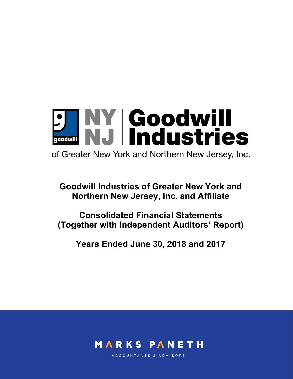**J NY Goodwill<br>MJ Industries** 

of Greater New York and Northern New Jersey, Inc.

**Goodwill Industries of Greater New York and Northern New Jersey, Inc. and Affiliate** 

**Consolidated Financial Statements (Together with Independent Auditors' Report)** 

**Years Ended June 30, 2018 and 2017** 



ACCOUNTANTS & ADVISORS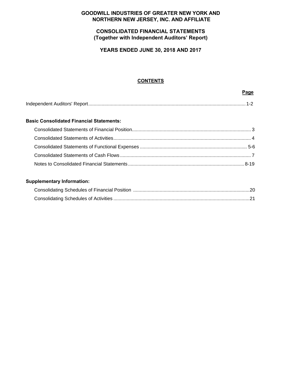## **GOODWILL INDUSTRIES OF GREATER NEW YORK AND NORTHERN NEW JERSEY, INC. AND AFFILIATE**

## **CONSOLIDATED FINANCIAL STATEMENTS (Together with Independent Auditors' Report)**

**YEARS ENDED JUNE 30, 2018 AND 2017** 

## **CONTENTS**

#### **Page**

|--|--|

## **Basic Consolidated Financial Statements:**

## **Supplementary Information:**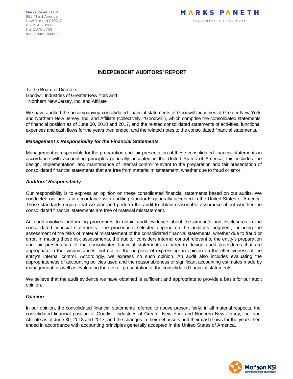Marks Paneth LLP 685 Third Avenue New York, NY 10017 P 212.503.8800 F 212.370.3759 markspaneth.com



## **INDEPENDENT AUDITORS' REPORT**

To the Board of Directors Goodwill Industries of Greater New York and Northern New Jersey, Inc. and Affiliate

We have audited the accompanying consolidated financial statements of Goodwill Industries of Greater New York and Northern New Jersey, Inc. and Affiliate (collectively, "Goodwill"), which comprise the consolidated statements of financial position as of June 30, 2018 and 2017, and the related consolidated statements of activities, functional expenses and cash flows for the years then ended, and the related notes to the consolidated financial statements.

#### *Management's Responsibility for the Financial Statements*

Management is responsible for the preparation and fair presentation of these consolidated financial statements in accordance with accounting principles generally accepted in the United States of America; this includes the design, implementation, and maintenance of internal control relevant to the preparation and fair presentation of consolidated financial statements that are free from material misstatement, whether due to fraud or error.

#### *Auditors' Responsibility*

Our responsibility is to express an opinion on these consolidated financial statements based on our audits. We conducted our audits in accordance with auditing standards generally accepted in the United States of America. Those standards require that we plan and perform the audit to obtain reasonable assurance about whether the consolidated financial statements are free of material misstatement.

An audit involves performing procedures to obtain audit evidence about the amounts and disclosures in the consolidated financial statements. The procedures selected depend on the auditor's judgment, including the assessment of the risks of material misstatement of the consolidated financial statements, whether due to fraud or error. In making those risk assessments, the auditor considers internal control relevant to the entity's preparation and fair presentation of the consolidated financial statements in order to design audit procedures that are appropriate in the circumstances, but not for the purpose of expressing an opinion on the effectiveness of the entity's internal control. Accordingly, we express no such opinion. An audit also includes evaluating the appropriateness of accounting policies used and the reasonableness of significant accounting estimates made by management, as well as evaluating the overall presentation of the consolidated financial statements.

We believe that the audit evidence we have obtained is sufficient and appropriate to provide a basis for our audit opinion.

## *Opinion*

In our opinion, the consolidated financial statements referred to above present fairly, in all material respects, the consolidated financial position of Goodwill Industries of Greater New York and Northern New Jersey, Inc. and Affiliate as of June 30, 2018 and 2017, and the changes in their net assets and their cash flows for the years then ended in accordance with accounting principles generally accepted in the United States of America.

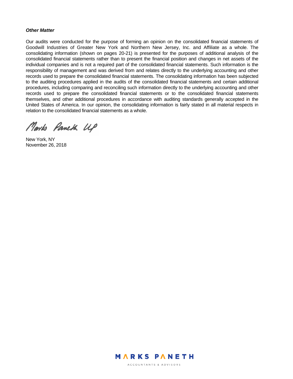#### *Other Matter*

Our audits were conducted for the purpose of forming an opinion on the consolidated financial statements of Goodwill Industries of Greater New York and Northern New Jersey, Inc. and Affiliate as a whole. The consolidating information (shown on pages 20-21) is presented for the purposes of additional analysis of the consolidated financial statements rather than to present the financial position and changes in net assets of the individual companies and is not a required part of the consolidated financial statements. Such information is the responsibility of management and was derived from and relates directly to the underlying accounting and other records used to prepare the consolidated financial statements. The consolidating information has been subjected to the auditing procedures applied in the audits of the consolidated financial statements and certain additional procedures, including comparing and reconciling such information directly to the underlying accounting and other records used to prepare the consolidated financial statements or to the consolidated financial statements themselves, and other additional procedures in accordance with auditing standards generally accepted in the United States of America. In our opinion, the consolidating information is fairly stated in all material respects in relation to the consolidated financial statements as a whole.

Marks Paneth UP

New York, NY November 26, 2018



ACCOUNTANTS & ADVISORS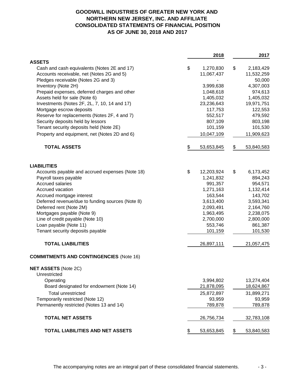# **GOODWILL INDUSTRIES OF GREATER NEW YORK AND NORTHERN NEW JERSEY, INC. AND AFFILIATE CONSOLIDATED STATEMENTS OF FINANCIAL POSITION AS OF JUNE 30, 2018 AND 2017**

|                                                  | 2018             | 2017             |
|--------------------------------------------------|------------------|------------------|
| <b>ASSETS</b>                                    |                  |                  |
| Cash and cash equivalents (Notes 2E and 17)      | \$<br>1,270,830  | \$<br>2,183,429  |
| Accounts receivable, net (Notes 2G and 5)        | 11,067,437       | 11,532,259       |
| Pledges receivable (Notes 2G and 3)              |                  | 50,000           |
| Inventory (Note 2H)                              | 3,999,638        | 4,307,003        |
| Prepaid expenses, deferred charges and other     | 1,048,618        | 974,613          |
| Assets held for sale (Note 6)                    | 1,405,032        | 1,405,032        |
| Investments (Notes 2F, 2L, 7, 10, 14 and 17)     | 23,236,643       | 19,971,751       |
| Mortgage escrow deposits                         | 117,753          | 122,553          |
| Reserve for replacements (Notes 2F, 4 and 7)     | 552,517          | 479,592          |
| Security deposits held by lessors                | 807,109          | 803,198          |
| Tenant security deposits held (Note 2E)          | 101,159          | 101,530          |
| Property and equipment, net (Notes 2D and 6)     | 10,047,109       | 11,909,623       |
| <b>TOTAL ASSETS</b>                              | \$<br>53,653,845 | \$<br>53,840,583 |
| <b>LIABILITIES</b>                               |                  |                  |
| Accounts payable and accrued expenses (Note 18)  | \$<br>12,203,924 | \$<br>6,173,452  |
| Payroll taxes payable                            | 1,241,832        | 894,243          |
| <b>Accrued salaries</b>                          | 991,357          | 954,571          |
| Accrued vacation                                 | 1,271,163        | 1,132,414        |
| Accrued mortgage interest                        | 163,544          | 143,702          |
| Deferred revenue/due to funding sources (Note 8) | 3,613,400        | 3,593,341        |
| Deferred rent (Note 2M)                          | 2,093,491        | 2,164,760        |
| Mortgages payable (Note 9)                       | 1,963,495        | 2,238,075        |
| Line of credit payable (Note 10)                 | 2,700,000        | 2,800,000        |
| Loan payable (Note 11)                           | 553,746          | 861,387          |
| Tenant security deposits payable                 | 101,159          | 101,530          |
| <b>TOTAL LIABILITIES</b>                         | 26,897,111       | 21,057,475       |
| <b>COMMITMENTS AND CONTINGENCIES (Note 16)</b>   |                  |                  |
| <b>NET ASSETS (Note 2C)</b>                      |                  |                  |
| Unrestricted                                     |                  |                  |
| Operating                                        | 3,994,802        | 13,274,404       |
| Board designated for endowment (Note 14)         | 21,878,095       | 18,624,867       |
| <b>Total unrestricted</b>                        | 25,872,897       | 31,899,271       |
| Temporarily restricted (Note 12)                 | 93,959           | 93,959           |
| Permanently restricted (Notes 13 and 14)         | 789,878          | 789,878          |
| <b>TOTAL NET ASSETS</b>                          | 26,756,734       | 32,783,108       |
| <b>TOTAL LIABILITIES AND NET ASSETS</b>          | \$<br>53,653,845 | \$<br>53,840,583 |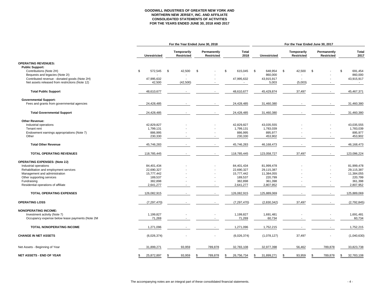#### **GOODWILL INDUSTRIES OF GREATER NEW YORK AND NORTHERN NEW JERSEY, INC. AND AFFILIATE CONSOLIDATED STATEMENTS OF ACTIVITIESFOR THE YEARS ENDED JUNE 30, 2018 AND 2017**

|                                                 |                     |                                  | For the Year Ended June 30, 2018 |                      | For the Year Ended June 30, 2017 |                                  |                           |                      |  |  |
|-------------------------------------------------|---------------------|----------------------------------|----------------------------------|----------------------|----------------------------------|----------------------------------|---------------------------|----------------------|--|--|
|                                                 | <b>Unrestricted</b> | Temporarily<br><b>Restricted</b> | Permanently<br><b>Restricted</b> | <b>Total</b><br>2018 | Unrestricted                     | Temporarily<br><b>Restricted</b> | Permanently<br>Restricted | <b>Total</b><br>2017 |  |  |
| <b>OPERATING REVENUES:</b>                      |                     |                                  |                                  |                      |                                  |                                  |                           |                      |  |  |
| <b>Public Support:</b>                          |                     |                                  |                                  |                      |                                  |                                  |                           |                      |  |  |
| Contributions (Note 2H)                         | \$<br>572,545       | 42,500<br>\$                     | \$                               | \$<br>615,045        | - \$<br>648,954                  | \$<br>42,500                     | \$                        | 691,454<br>\$.       |  |  |
| Bequests and legacies (Note 2I)                 |                     |                                  |                                  |                      | 860,000                          |                                  |                           | 860,000              |  |  |
| Contributed revenue - donated goods (Note 2H)   | 47,995,632          |                                  |                                  | 47,995,632           | 43,915,917                       |                                  |                           | 43,915,917           |  |  |
| Net assets released from restrictions (Note 12) | 42,500              | (42, 500)                        |                                  |                      | 5,003                            | (5,003)                          |                           | $\sim$               |  |  |
| <b>Total Public Support</b>                     | 48,610,677          |                                  |                                  | 48,610,677           | 45,429,874                       | 37,497                           |                           | 45,467,371           |  |  |
| <b>Governmental Support:</b>                    |                     |                                  |                                  |                      |                                  |                                  |                           |                      |  |  |
| Fees and grants from governmental agencies      | 24,428,485          |                                  |                                  | 24,428,485           | 31,460,380                       |                                  |                           | 31,460,380           |  |  |
| <b>Total Governmental Support</b>               | 24,428,485          |                                  | $\blacksquare$                   | 24,428,485           | 31,460,380                       |                                  |                           | 31,460,380           |  |  |
|                                                 |                     |                                  |                                  |                      |                                  |                                  |                           |                      |  |  |
| <b>Other Revenue:</b>                           |                     |                                  |                                  |                      |                                  |                                  |                           |                      |  |  |
| Industrial operations                           | 42,829,827          |                                  |                                  | 42,829,827           | 43,035,555                       |                                  |                           | 43,035,555           |  |  |
| Tenant rent                                     | 1,799,131           |                                  |                                  | 1,799,131            | 1,783,039                        |                                  |                           | 1,783,039            |  |  |
| Endowment earnings appropriations (Note 7)      | 886,995             |                                  |                                  | 886,995              | 895,977                          |                                  |                           | 895,977              |  |  |
| Other                                           | 230,330             |                                  |                                  | 230,330              | 453,902                          |                                  |                           | 453,902              |  |  |
| <b>Total Other Revenue</b>                      | 45,746,283          |                                  |                                  | 45,746,283           | 46, 168, 473                     |                                  |                           | 46,168,473           |  |  |
| TOTAL OPERATING REVENUES                        | 118,785,445         |                                  |                                  | 118,785,445          | 123,058,727                      | 37,497                           |                           | 123,096,224          |  |  |
| <b>OPERATING EXPENSES: (Note 2J)</b>            |                     |                                  |                                  |                      |                                  |                                  |                           |                      |  |  |
| Industrial operations                           | 84,401,434          |                                  |                                  | 84,401,434           | 81,999,478                       |                                  |                           | 81,999,478           |  |  |
| Rehabilitation and employment services          | 22,690,327          |                                  |                                  | 22,690,327           | 29,115,387                       |                                  |                           | 29,115,387           |  |  |
| Management and administration                   | 15,777,442          |                                  |                                  | 15,777,442           | 11,384,055                       |                                  |                           | 11,384,055           |  |  |
| Other supporting services                       | 189,537             |                                  |                                  | 189,537              | 220,799                          |                                  |                           | 220,799              |  |  |
| Fundraising                                     | 382,898             |                                  |                                  | 382,898              | 361,398                          |                                  |                           | 361,398              |  |  |
| Residential operations of affiliate             | 2,641,277           |                                  |                                  | 2,641,277            | 2,807,952                        |                                  |                           | 2,807,952            |  |  |
|                                                 |                     |                                  |                                  |                      |                                  |                                  |                           |                      |  |  |
| <b>TOTAL OPERATING EXPENSES</b>                 | 126,082,915         |                                  |                                  | 126,082,915          | 125,889,069                      |                                  |                           | 125,889,069          |  |  |
| <b>OPERATING LOSS</b>                           | (7, 297, 470)       |                                  |                                  | (7, 297, 470)        | (2,830,342)                      | 37,497                           |                           | (2,792,845)          |  |  |
| <b>NONOPERATING INCOME:</b>                     |                     |                                  |                                  |                      |                                  |                                  |                           |                      |  |  |
| Investment activity (Note 7)                    | 1,199,827           |                                  |                                  | 1,199,827            | 1,691,481                        |                                  |                           | 1,691,481            |  |  |
| Occupancy expense below lease payments (Note 2M | 71,269              |                                  |                                  | 71,269               | 60,734                           |                                  |                           | 60,734               |  |  |
| TOTAL NONOPERATING INCOME                       | 1,271,096           |                                  |                                  | 1,271,096            | 1,752,215                        |                                  |                           | 1,752,215            |  |  |
| <b>CHANGE IN NET ASSETS</b>                     | (6,026,374)         |                                  |                                  | (6,026,374)          | (1,078,127)                      | 37,497                           |                           | (1,040,630)          |  |  |
| Net Assets - Beginning of Year                  | 31,899,271          | 93,959                           | 789,878                          | 32,783,108           | 32,977,398                       | 56,462                           | 789,878                   | 33,823,738           |  |  |
| NET ASSETS - END OF YEAR                        | 25,872,897<br>\$.   | 93,959<br>-S                     | 789,878<br>\$                    | 26,756,734<br>\$     | 31,899,271<br>\$.                | 93,959<br>\$                     | 789,878<br>\$             | 32,783,108<br>S      |  |  |
|                                                 |                     |                                  |                                  |                      |                                  |                                  |                           |                      |  |  |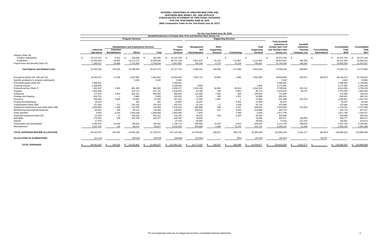# **GOODWILL INDUSTRIES OF GREATER NEW YORK AND NORTHERN NEW JERSEY, INC. AND AFFILIATE CONSOLIDATED STATEMENT OF FUNCTIONAL EXPENSES FOR THE YEAR ENDED JUNE 30, 2018 (With Comparative Totals for the Year Ended June 30, 2017)**

|                                             |                                                                                                  |                                   |                                                         |                          |                                            |                                            | For the Year Ended June 30, 2018       |                    |                                               |                                                                                                       |                                                                  |                                      |                               |                               |
|---------------------------------------------|--------------------------------------------------------------------------------------------------|-----------------------------------|---------------------------------------------------------|--------------------------|--------------------------------------------|--------------------------------------------|----------------------------------------|--------------------|-----------------------------------------------|-------------------------------------------------------------------------------------------------------|------------------------------------------------------------------|--------------------------------------|-------------------------------|-------------------------------|
|                                             | Goodwill Industries of Greater New York and Northern New Jersey, Inc.<br><b>Program Services</b> |                                   |                                                         |                          | <b>Supporting Services</b>                 |                                            |                                        |                    |                                               |                                                                                                       |                                                                  |                                      |                               |                               |
|                                             | Industrial<br><b>Operations</b>                                                                  | <b>Extended</b><br>Rehabilitation | <b>Rehabilitation and Employment Services</b><br>Others | <b>Total</b>             | <b>Total</b><br>Program<br><b>Services</b> | <b>Management</b><br>and<br>Administration | Other<br>Supporting<br><b>Services</b> | <b>Fundraising</b> | Total<br><b>Supporting</b><br><b>Services</b> | <b>Total Goodwill</b><br>Industries of<br><b>Greater New York</b><br>and Northern New<br>Jersey, Inc. | Goodwill<br><b>Industries</b><br><b>Housing</b><br>Company, Inc. | Consolidating<br><b>Eliminations</b> | Consolidated<br>Total<br>2018 | Consolidated<br>Total<br>2017 |
| Salaries (Note 18):                         |                                                                                                  |                                   |                                                         |                          |                                            |                                            |                                        |                    |                                               |                                                                                                       |                                                                  |                                      |                               |                               |
| Program participants                        | 22.210.374                                                                                       | 6,319                             | 256,066                                                 | 262,385                  | 22,472,759                                 |                                            |                                        |                    |                                               | 22,472,759                                                                                            |                                                                  |                                      | 22.472.759                    | 20,797,146                    |
| Employees                                   | 22,500,563                                                                                       | 94,825                            | 12,111,721                                              | 12,206,546               | 34,707,109                                 | 3,847,975                                  | 91,310                                 | 174,667            | 4,113,952                                     | 38,821,061                                                                                            | 390,393                                                          |                                      | 39,211,454                    | 42,098,43                     |
| Payroll taxes and benefits (Note 15)        | 7,189,321                                                                                        | 26,886                            | 2,731,658                                               | 2,758,544                | 9,947,865                                  | 750,248                                    | 8,775                                  | 37,318             | 796,341                                       | 10,744,206                                                                                            | 198,294                                                          |                                      | 10,942,500                    | 11,878,507                    |
| <b>Total Salaries and Related Costs</b>     | 51,900,258                                                                                       | 128,030                           | 15,099,445                                              | 15,227,475               | 67,127,733                                 | 4,598,223                                  | 100,085                                | 211,985            | 4,910,293                                     | 72,038,026                                                                                            | 588,687                                                          |                                      | 72,626,713                    | 74,774,084                    |
| Occupancy (Notes 2M, 16B and 18)            | 19,282,575                                                                                       | 11,045                            | 2,632,862                                               | 2,643,907                | 21,926,482                                 | 7,654,723                                  | 24,683                                 | 2,980              | 7,682,386                                     | 29,608,868                                                                                            | 562,072                                                          | (66, 467)                            | 30,104,473                    | 25,728,625                    |
| Specific assistance to program participants | $\sim$                                                                                           | $\sim$                            | 3,340                                                   | 3,340                    | 3,340                                      | $\sim$                                     |                                        | $\sim$             |                                               | 3,340                                                                                                 | $\sim$                                                           | $\sim$                               | 3,340                         | 18,984                        |
| Purchased goods (Note 2H)                   | 1,388,461                                                                                        |                                   |                                                         | $\overline{\phantom{a}}$ | 1,388,461                                  |                                            |                                        |                    |                                               | 1,388,461                                                                                             |                                                                  |                                      | 1,388,461                     | 2,728,959                     |
| Trucking services                           | 3,168,935                                                                                        | $\sim$                            | $\sim$                                                  | $\sim$                   | 3,168,935                                  | 3,000                                      |                                        | $\sim$             | 3,000                                         | 3,171,935                                                                                             | $\sim$                                                           |                                      | 3,171,935                     | 3,350,206                     |
| Professional fees (Note 7)                  | 831,507                                                                                          | 2,083                             | 861,482                                                 | 863,565                  | 1,695,072                                  | 1,914,139                                  | 34,981                                 | 65,424             | 2,014,544                                     | 3,709,616                                                                                             | 332,212                                                          |                                      | 4,041,828                     | 4,799,245                     |
| Supplies                                    | 1,002,365                                                                                        | $\sim$                            | 514,137                                                 | 514,137                  | 1,516,502                                  | 91,186                                     | 339                                    | 2,651              | 94,176                                        | 1,610,678                                                                                             | 93,715                                                           |                                      | 1,704,393                     | 1,663,940                     |
| Telephone                                   | 177,525                                                                                          | 3,824                             | 382,101                                                 | 385,925                  | 563,450                                    | 151,085                                    | 7,020                                  | 929                | 159,034                                       | 722,484                                                                                               | $\sim$                                                           |                                      | 722,484                       | 765,813                       |
| Postage and shipping                        | 624,751                                                                                          |                                   | 6,864                                                   | 6,865                    | 631,616                                    | 11,208                                     | 469                                    | 3,322              | 14,999                                        | 646,615                                                                                               | $\sim$                                                           |                                      | 646,615                       | 690,741                       |
| Insurance                                   | 830,483                                                                                          | 2,359                             | 94,681                                                  | 97,040                   | 927,523                                    | 11,583                                     | 2,381                                  |                    | 13,965                                        | 941.488                                                                                               | 155,333                                                          |                                      | 1,096,821                     | 1,043,752                     |
| Printing and advertising                    | 33,425                                                                                           | $\sim$                            | 462                                                     | 462                      | 33,887                                     | 16,257                                     | $\sim$                                 | 5,303              | 21,560                                        | 55,447                                                                                                | $\sim$                                                           |                                      | 55,447                        | 55,450                        |
| Transportation (Note 16B)                   | 317,058                                                                                          | 213                               | 224,101                                                 | 224,314                  | 541,372                                    | 31.143                                     | 17                                     | 2,558              | 33,718                                        | 575,090                                                                                               | $\sim$                                                           |                                      | 575,090                       | 732,399                       |
| Equipment maintenance and rental (Note 16B) | 1,006,965                                                                                        | 1,200                             | 142,259                                                 | 143,459                  | 1,150,424                                  | 366,880                                    | 568                                    | 2,197              | 369,645                                       | 1,520,069                                                                                             | 213,952                                                          |                                      | 1,734,021                     | 1,570,188                     |
| Membership dues/staff development           | 60,351                                                                                           | 348                               | 89,121                                                  | 89,469                   | 149,820                                    | 240,833                                    | 421                                    | 2,645              | 243,899                                       | 393,719                                                                                               | $\sim$                                                           |                                      | 393,719                       | 497,227                       |
| <b>Client activities</b>                    | 4,604                                                                                            | 4,418                             | 1,654,438                                               | 1,658,856                | 1,663,460                                  | 5,932                                      |                                        | 2,398              | 8,330                                         | 1,671,790                                                                                             |                                                                  |                                      | 1,671,790                     | 1,109,327                     |
| Expensed equipment (Note 2D)                | 53,933                                                                                           | 31                                | 420,281                                                 | 420,312                  | 474,245                                    | 26,978                                     | 443                                    | 2,920              | 30,341                                        | 504,586                                                                                               |                                                                  |                                      | 504,586                       | 304,316                       |
| Bad debts                                   | 173,555                                                                                          | 578                               | 252,299                                                 | 252,877                  | 426,432                                    | 19,045                                     |                                        | $\sim$             | 19,045                                        | 445,477                                                                                               | 148,800                                                          |                                      | 594,277                       | 666,571                       |
| Interest                                    | 27,578                                                                                           | $\sim$                            | $\sim$                                                  | $\overline{\phantom{a}}$ | 27,578                                     | 49,940                                     |                                        |                    | 49,940                                        | 77,518                                                                                                | 107,424                                                          |                                      | 184,942                       | 224,873                       |
| Depreciation and amortization               | 1,590,453                                                                                        | 10,260                            | 148,001                                                 | 158,261                  | 1,748,714                                  | 346,565                                    | 15,434                                 | 3,033              | 365,032                                       | 2,113,746                                                                                             | 388,016                                                          |                                      | 2,501,762                     | 3,199,981                     |
| Miscellaneous                               | 1,937,793                                                                                        | 135                               | 38,472                                                  | 38,607                   | 1,976,400                                  | 254,683                                    | 2,696                                  | 75,373             | 332,752                                       | 2,309,152                                                                                             | 51,066                                                           |                                      | 2,360,218                     | 1,964,388                     |
| TOTAL EXPENSES BEFORE ALLOCATION            | 84,412,575                                                                                       | 164,525                           | 22,564,346                                              | 22,728,871               | 107,141,446                                | 15,793,403                                 | 189,537                                | 383,719            | 16,366,659                                    | 123,508,105                                                                                           | 2,641,277                                                        | (66, 467)                            | 126,082,915                   | 125,889,069                   |
| <b>ALLOCATION OF ELIMINATIONS</b>           | (11, 141)                                                                                        |                                   | (38, 544)                                               | (38, 544)                | (49, 685)                                  | (15, 961)                                  |                                        | (821)              | (16, 782)                                     | (66, 467)                                                                                             | $\sim$                                                           | 66,467                               |                               |                               |
| <b>TOTAL EXPENSES</b>                       | 84,401,434                                                                                       | 164,525                           | 22,525,802<br>S.                                        | 22,690,327               | 107,091,761<br>- SS                        | 15,777,442                                 | 189,537                                | 382,898            | 16,349,877<br>\$.                             | 123,441,638                                                                                           | 2,641,277                                                        |                                      | 126,082,915<br>- \$           | 125,889,069<br>- \$           |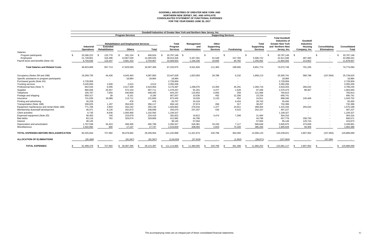# **GOODWILL INDUSTRIES OF GREATER NEW YORK AND NORTHERN NEW JERSEY, INC. AND AFFILIATE CONSOLIDATED STATEMENT OF FUNCTIONAL EXPENSES FOR THE YEAR ENDED JUNE 30, 2017**

|                                               | Goodwill Industries of Greater New York and Northern New Jersey, Inc. |                                   |                                                                |                 |                                     |                                     |                                               |                          |                                                      |                                                                                                              |                                                           |                                      |                      |
|-----------------------------------------------|-----------------------------------------------------------------------|-----------------------------------|----------------------------------------------------------------|-----------------|-------------------------------------|-------------------------------------|-----------------------------------------------|--------------------------|------------------------------------------------------|--------------------------------------------------------------------------------------------------------------|-----------------------------------------------------------|--------------------------------------|----------------------|
|                                               |                                                                       |                                   | <b>Program Services</b>                                        |                 |                                     | <b>Supporting Services</b>          |                                               |                          |                                                      |                                                                                                              |                                                           |                                      |                      |
|                                               | <b>Industrial</b><br><b>Operations</b>                                | <b>Extended</b><br>Rehabilitation | <b>Rehabilitation and Employment Services</b><br><b>Others</b> | <b>Total</b>    | Total<br>Program<br><b>Services</b> | Management<br>and<br>Administration | Other<br><b>Supporting</b><br><b>Services</b> | <b>Fundraising</b>       | <b>Total</b><br><b>Supporting</b><br><b>Services</b> | <b>Total Goodwill</b><br><b>Industries of</b><br><b>Greater New York</b><br>and Northern New<br>Jersey, Inc. | Goodwill<br><b>Industries</b><br>Housing<br>Company, Inc. | Consolidating<br><b>Eliminations</b> | Consolidated<br>Tota |
| Salaries:                                     |                                                                       |                                   |                                                                |                 |                                     |                                     |                                               |                          |                                                      |                                                                                                              |                                                           |                                      |                      |
| Program participants                          | 20,390,222                                                            | 125,770                           | 281,154                                                        | 406,924<br>- \$ | 20,797,146 \$                       |                                     | -\$                                           |                          | - \$                                                 | 20,797,146<br>- \$                                                                                           | - \$                                                      |                                      | 20,797,146           |
| Employees                                     | 21,728,801                                                            | 318,496                           | 13,967,029                                                     | 14,285,525      | 36,014,326                          | 5,347,391                           | 91,548                                        | 157,783                  | 5,596,722                                            | 41,611,048                                                                                                   | 487,383                                                   |                                      | 42,098,431           |
| Payroll taxes and benefits (Note 15)          | 6,704,646                                                             | 123,447                           | 3,581,410                                                      | 3,704,857       | 10,409,503                          | 1,194,435                           | 19,835                                        | 40,782                   | 1,255,052                                            | 11,664,555                                                                                                   | 213,952                                                   | $\overline{\phantom{0}}$             | 11,878,507           |
| <b>Total Salaries and Related Costs</b>       | 48,823,669                                                            | 567,713                           | 17,829,593                                                     | 18,397,306      | 67,220,975                          | 6,541,826                           | 111,383                                       | 198,565                  | 6,851,774                                            | 74,072,749                                                                                                   | 701,335                                                   |                                      | 74,774,084           |
| Occupancy (Notes 2M and 16B)                  | 19,359,735                                                            | 44,430                            | 4,043,463                                                      | 4,087,893       | 23,447,628                          | 1,823,093                           | 28,788                                        | 6,232                    | 1,858,113                                            | 25,305,741                                                                                                   | 580,788                                                   | (157, 904)                           | 25,728,625           |
| Specific assistance to program participants   |                                                                       | $\overline{\phantom{a}}$          | 18,984                                                         | 18,984          | 18,984                              |                                     |                                               |                          |                                                      | 18,984                                                                                                       | $\overline{\phantom{a}}$                                  | $\overline{\phantom{a}}$             | 18,984               |
| Purchased goods (Note 2H)                     | 2,728,959                                                             | $\overline{\phantom{a}}$          | $\overline{\phantom{a}}$                                       | $\sim$          | 2,728,959                           |                                     |                                               |                          |                                                      | 2,728,959                                                                                                    |                                                           |                                      | 2,728,959            |
| <b>Trucking services</b>                      | 3,345,693                                                             | 2,500                             | 2,013                                                          | 4,513           | 3,350,206                           |                                     | $\sim$                                        |                          |                                                      | 3,350,206                                                                                                    | $\overline{\phantom{a}}$                                  |                                      | 3,350,206            |
| Professional fees (Note 7)                    | 652,533                                                               | 6,595                             | 2,517,359                                                      | 2,523,954       | 3,176,487                           | 1,298,075                           | 23,350                                        | 35,291                   | 1,356,716                                            | 4,533,203                                                                                                    | 266,042                                                   |                                      | 4,799,245            |
| Supplies                                      | 880,556                                                               | 25,557                            | 572,154                                                        | 597,711         | 1,478,267                           | 91,201                              | 4,477                                         | 1,528                    | 97,206                                               | 1,575,473                                                                                                    | 88,467                                                    |                                      | 1,663,940            |
| Telephone                                     | 195,797                                                               | 7,650                             | 440,800                                                        | 448,450         | 644.247                             | 115,653                             | 5,655                                         | 258                      | 121,566                                              | 765,813                                                                                                      | $\overline{\phantom{a}}$                                  |                                      | 765,813              |
| Postage and shipping                          | 659,317                                                               | 39                                | 8,151                                                          | 8,190           | 667,507                             | 10,536                              | 492                                           | 12,206                   | 23,234                                               | 690,741                                                                                                      | $\overline{\phantom{a}}$                                  |                                      | 690,741              |
| Insurance                                     | 741,635                                                               | 18,089                            | 113,711                                                        | 131,800         | 873,435                             | 19,326                              | 5,133                                         | 452                      | 24,911                                               | 898,346                                                                                                      | 145,406                                                   |                                      | 1,043,752            |
| Printing and advertising                      | 26,229                                                                | $\sim$                            | 478                                                            | 478             | 26,707                              | 24,319                              | $\sim$                                        | 4,424                    | 28,743                                               | 55,450                                                                                                       | $\overline{\phantom{a}}$                                  |                                      | 55,450               |
| Transportation (Note 16B)                     | 338,025                                                               | 1,197                             | 354,920                                                        | 356,117         | 694,142                             | 37,674                              | 266                                           | 317                      | 38,257                                               | 732,399                                                                                                      | $\overline{\phantom{a}}$                                  |                                      | 732,399              |
| Equipment maintenance and rental (Note 16B)   | 771,706                                                               | 2,904                             | 252,242                                                        | 255,146         | 1,026,852                           | 276,016                             | 1,377                                         | 10,911                   | 288,304                                              | 1,315,156                                                                                                    | 255,032                                                   |                                      | 1,570,188            |
| Membership dues/staff development             | 46,071                                                                | 6,126                             | 202,873                                                        | 208,999         | 255,070                             | 237,207                             | 435                                           | 4,515                    | 242,157                                              | 497,227                                                                                                      | $\overline{\phantom{a}}$                                  |                                      | 497,227              |
| <b>Client activities</b>                      | 6,735                                                                 | 8,636                             | 1,093,956                                                      | 1,102,592       | 1,109,327                           | $\sim$                              |                                               | $\overline{\phantom{a}}$ |                                                      | 1,109,327                                                                                                    |                                                           |                                      | 1,109,327            |
| Expensed equipment (Note 2D)                  | 58,403                                                                | 740                               | 223,679                                                        | 224,419         | 282,822                             | 10,812                              | 3,474                                         | 7,208                    | 21,494                                               | 304,316                                                                                                      |                                                           |                                      | 304,316              |
| Bad debts                                     | 83,116                                                                | 792                               | 329,074                                                        | 329,866         | 412,982                             | 44,796                              | $\sim$                                        |                          | 44,796                                               | 457,778                                                                                                      | 208,793                                                   |                                      | 666,571              |
| Interest                                      | 38.145                                                                | $\sim$                            | $\sim$                                                         | $\sim$          | 38,145                              | 57,004                              | $\overline{\phantom{a}}$                      | $\sim$                   | 57,004                                               | 95,149                                                                                                       | 129,724                                                   |                                      | 224,873              |
| Depreciation and amortization                 | 1,767,538                                                             | 34,424                            | 458,365                                                        | 492,789         | 2,260,327                           | 526,381                             | 33,150                                        | 7,117                    | 566,648                                              | 2,826,975                                                                                                    | 373,006                                                   |                                      | 3,199,981            |
| Miscellaneous                                 | 1.502.082                                                             | 600                               | 17.147                                                         | 17.747          | 1,519,829                           | 308,055                             | 2,819                                         | 74,326                   | 385,200                                              | 1,905,029                                                                                                    | 59,359                                                    |                                      | 1,964,388            |
| <b>TOTAL EXPENSES BEFORE RECLASSIFICATION</b> | 82,025,944                                                            | 727,992                           | 28,478,962                                                     | 29,206,954      | 111,232,898                         | 11,421,974                          | 220,799                                       | 363,350                  | 12,006,123                                           | 123,239,021                                                                                                  | 2,807,952                                                 | (157, 904)                           | 125,889,069          |
| <b>ALLOCATION OF ELIMINATIONS</b>             | (26, 466)                                                             | $\sim$                            | (91, 567)                                                      | (91, 567)       | (118, 033)                          | (37, 919)                           |                                               | (1,952)                  | (39, 871)                                            | (157, 904)                                                                                                   |                                                           | 157,904                              |                      |
| <b>TOTAL EXPENSES</b>                         | 81,999,478                                                            | 727,992                           | \$ 28,387,395                                                  | 29,115,387      | \$ 111,114,865                      | 11,384,055                          | 220,799<br>- \$                               | 361,398                  | 11,966,252                                           | 123,081,117                                                                                                  | 2,807,952                                                 |                                      | 125,889,069<br>-SS   |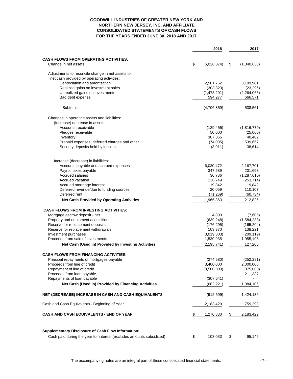#### **GOODWILL INDUSTRIES OF GREATER NEW YORK AND NORTHERN NEW JERSEY, INC. AND AFFILIATE CONSOLIDATED STATEMENTS OF CASH FLOWS FOR THE YEARS ENDED JUNE 30, 2018 AND 2017**

|                                                                      | 2018              | 2017              |
|----------------------------------------------------------------------|-------------------|-------------------|
| <b>CASH FLOWS FROM OPERATING ACTIVITIES:</b>                         |                   |                   |
| Change in net assets                                                 | \$<br>(6,026,374) | \$<br>(1,040,630) |
|                                                                      |                   |                   |
| Adjustments to reconcile change in net assets to                     |                   |                   |
| net cash provided by operating activities:                           |                   |                   |
| Depreciation and amortization                                        | 2,501,762         | 3,199,981         |
| Realized gains on investment sales                                   | (303, 323)        | (23, 296)         |
| Unrealized gains on investments                                      | (1,473,201)       | (2,264,065)       |
| Bad debt expense                                                     | 594,277           | 666,571           |
| Subtotal                                                             | (4,706,859)       | 538,561           |
| Changes in operating assets and liabilities:                         |                   |                   |
| (Increase) decrease in assets:                                       |                   |                   |
| Accounts receivable                                                  | (129, 455)        | (1,816,779)       |
| Pledges receivable                                                   | 50,000            | (25,000)          |
| Inventory                                                            | 307,365           | 40,482            |
| Prepaid expenses, deferred charges and other                         | (74,005)          | 539,657           |
| Security deposits held by lessors                                    | (3,911)           | 38,614            |
|                                                                      |                   |                   |
| Increase (decrease) in liabilities:                                  |                   |                   |
| Accounts payable and accrued expenses                                | 6,030,472         | 2,167,701         |
| Payroll taxes payable                                                | 347,589           | 201,698           |
| <b>Accrued salaries</b>                                              | 36,786            | (1,287,610)       |
| Accrued vacation                                                     | 138,749           | (253, 714)        |
| Accrued mortgage interest                                            | 19,842            | 19,842            |
| Deferred revenue/due to funding sources                              | 20,059            | 110,107           |
| Deferred rent                                                        | (71, 269)         | (60, 734)         |
| <b>Net Cash Provided by Operating Activities</b>                     | 1,965,363         | 212,825           |
| <b>CASH FLOWS FROM INVESTING ACTIVITIES:</b>                         |                   |                   |
| Mortgage escrow deposit - net                                        | 4,800             | (7,605)           |
| Property and equipment acquisitions                                  | (639, 248)        | (1,584,283)       |
| Reserve for replacement deposits                                     | (176, 295)        | (165, 204)        |
| Reserve for replacement withdrawals                                  | 103,370           | 138,221           |
| Investment purchases                                                 | (3,019,303)       | (209, 119)        |
| Proceeds from sale of investments                                    | 1,530,935         | 1,955,195         |
| Net Cash (Used in) Provided by Investing Activities                  | (2, 195, 741)     | 127,205           |
|                                                                      |                   |                   |
| <b>CASH FLOWS FROM FINANCING ACTIVITIES:</b>                         |                   |                   |
| Principal repayments of mortgages payable                            | (274, 580)        | (252, 281)        |
| Proceeds from line of credit                                         | 3,400,000         | 2,000,000         |
| Repayment of line of credit                                          | (3,500,000)       | (875,000)         |
| Proceeds from loan payable                                           |                   | 211,387           |
| Repayments of loan payable                                           | (307, 641)        |                   |
| Net Cash (Used in) Provided by Financing Activities                  | (682, 221)        | 1,084,106         |
| <b>NET (DECREASE) INCREASE IN CASH AND CASH EQUIVALENTS</b>          | (912, 599)        | 1,424,136         |
| Cash and Cash Equivalents - Beginning of Year                        | 2,183,429         | 759,293           |
| CASH AND CASH EQUIVALENTS - END OF YEAF                              | \$<br>1,270,830   | \$<br>2,183,429   |
|                                                                      |                   |                   |
| <b>Supplementary Disclosure of Cash Flow Information:</b>            |                   |                   |
| Cash paid during the year for interest (excludes amounts subsidized) | \$<br>103,033     | \$<br>95,149      |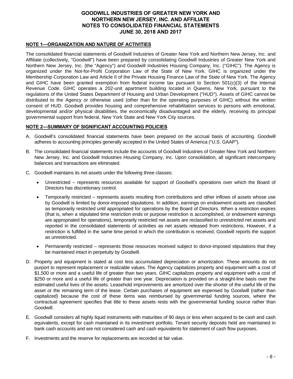## **NOTE 1—ORGANIZATION AND NATURE OF ACTIVITIES**

The consolidated financial statements of Goodwill Industries of Greater New York and Northern New Jersey, Inc. and Affiliate (collectively, "Goodwill") have been prepared by consolidating Goodwill Industries of Greater New York and Northern New Jersey, Inc. (the "Agency") and Goodwill Industries Housing Company, Inc. ("GIHC"). The Agency is organized under the Not-for-Profit Corporation Law of the State of New York. GIHC is organized under the Membership Corporation Law and Article II of the Private Housing Finance Law of the State of New York. The Agency and GIHC have been granted exemption from federal income tax pursuant to Section 501(c)(3) of the Internal Revenue Code. GIHC operates a 202-unit apartment building located in Queens, New York, pursuant to the regulations of the United States Department of Housing and Urban Development ("HUD"). Assets of GIHC cannot be distributed to the Agency or otherwise used (other than for the operating purposes of GIHC) without the written consent of HUD. Goodwill provides housing and comprehensive rehabilitation services to persons with emotional, developmental and/or physical disabilities, the economically disadvantaged and the elderly, receiving its principal governmental support from federal, New York State and New York City sources.

## **NOTE 2—SUMMARY OF SIGNIFICANT ACCOUNTING POLICIES**

- A. Goodwill's consolidated financial statements have been prepared on the accrual basis of accounting. Goodwill adheres to accounting principles generally accepted in the United States of America ("U.S. GAAP").
- B. The consolidated financial statements include the accounts of Goodwill Industries of Greater New York and Northern New Jersey, Inc. and Goodwill Industries Housing Company, Inc. Upon consolidation, all significant intercompany balances and transactions are eliminated.
- C. Goodwill maintains its net assets under the following three classes:
	- Unrestricted represents resources available for support of Goodwill's operations over which the Board of Directors has discretionary control.
	- Temporarily restricted represents assets resulting from contributions and other inflows of assets whose use by Goodwill is limited by donor-imposed stipulations. In addition, earnings on endowment assets are classified as temporarily restricted until appropriated for operations by the Board of Directors. When a restriction expires (that is, when a stipulated time restriction ends or purpose restriction is accomplished, or endowment earnings are appropriated for operations), temporarily restricted net assets are reclassified to unrestricted net assets and reported in the consolidated statements of activities as net assets released from restrictions. However, if a restriction is fulfilled in the same time period in which the contribution is received, Goodwill reports the support as unrestricted.
	- Permanently restricted represents those resources received subject to donor-imposed stipulations that they be maintained intact in perpetuity by Goodwill.
- D. Property and equipment is stated at cost less accumulated depreciation or amortization. These amounts do not purport to represent replacement or realizable values. The Agency capitalizes property and equipment with a cost of \$1,500 or more and a useful life of greater than two years. GIHC capitalizes property and equipment with a cost of \$250 or more and a useful life of greater than one year. Depreciation is provided on a straight-line basis over the estimated useful lives of the assets. Leasehold improvements are amortized over the shorter of the useful life of the asset or the remaining term of the lease. Certain purchases of equipment are expensed by Goodwill (rather than capitalized) because the cost of these items was reimbursed by governmental funding sources, where the contractual agreement specifies that title to these assets rests with the governmental funding source rather than Goodwill.
- E. Goodwill considers all highly liquid instruments with maturities of 90 days or less when acquired to be cash and cash equivalents, except for cash maintained in its investment portfolio. Tenant security deposits held are maintained in bank cash accounts and are not considered cash and cash equivalents for statement of cash flow purposes.
- F. Investments and the reserve for replacements are recorded at fair value.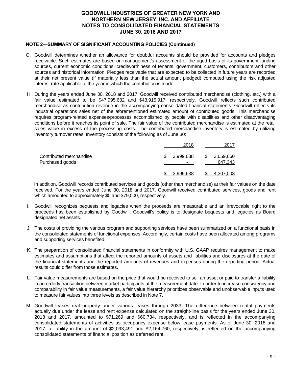## **NOTE 2—SUMMARY OF SIGNIFICANT ACCOUNTING POLICIES (Continued)**

- G. Goodwill determines whether an allowance for doubtful accounts should be provided for accounts and pledges receivable. Such estimates are based on management's assessment of the aged basis of its government funding sources, current economic conditions, creditworthiness of tenants, government, customers, contributors and other sources and historical information. Pledges receivable that are expected to be collected in future years are recorded at their net present value (if materially less than the actual amount pledged) computed using the risk adjusted interest rate applicable to the year in which the contribution is made.
- H. During the years ended June 30, 2018 and 2017, Goodwill received contributed merchandise (clothing, etc.) with a fair value estimated to be \$47,995,632 and \$43,915,917, respectively. Goodwill reflects such contributed merchandise as contribution revenue in the accompanying consolidated financial statements. Goodwill reflects its industrial operations sales net of the aforementioned estimated amount of contributed goods. This merchandise requires program-related expenses/processes accomplished by people with disabilities and other disadvantaging conditions before it reaches its point of sale. The fair value of the contributed merchandise is estimated at the retail sales value in excess of the processing costs. The contributed merchandise inventory is estimated by utilizing inventory turnover rates. Inventory consists of the following as of June 30:

|                                            | 2018                 | 2017                       |
|--------------------------------------------|----------------------|----------------------------|
| Contributed merchandise<br>Purchased goods | \$<br>3,999,638<br>- | \$<br>3,659,660<br>647,343 |
|                                            | 3,999,638            | 4,307,003                  |

In addition, Goodwill records contributed services and goods (other than merchandise) at their fair values on the date received. For the years ended June 30, 2018 and 2017, Goodwill received contributed services, goods and rent which amounted to approximately \$0 and \$79,000, respectively.

- I. Goodwill recognizes bequests and legacies when the proceeds are measurable and an irrevocable right to the proceeds has been established by Goodwill. Goodwill's policy is to designate bequests and legacies as Board designated net assets.
- J. The costs of providing the various program and supporting services have been summarized on a functional basis in the consolidated statements of functional expenses. Accordingly, certain costs have been allocated among programs and supporting services benefited.
- K. The preparation of consolidated financial statements in conformity with U.S. GAAP requires management to make estimates and assumptions that affect the reported amounts of assets and liabilities and disclosures at the date of the financial statements and the reported amounts of revenues and expenses during the reporting period. Actual results could differ from those estimates.
- L. Fair value measurements are based on the price that would be received to sell an asset or paid to transfer a liability in an orderly transaction between market participants at the measurement date. In order to increase consistency and comparability in fair value measurements, a fair value hierarchy prioritizes observable and unobservable inputs used to measure fair values into three levels as described in Note 7.
- M. Goodwill leases real property under various leases through 2033. The difference between rental payments actually due under the lease and rent expense calculated on the straight-line basis for the years ended June 30, 2018 and 2017, amounted to \$71,269 and \$60,734, respectively, and is reflected in the accompanying consolidated statements of activities as occupancy expense below lease payments. As of June 30, 2018 and 2017, a liability in the amount of \$2,093,491 and \$2,164,760, respectively, is reflected on the accompanying consolidated statements of financial position as deferred rent.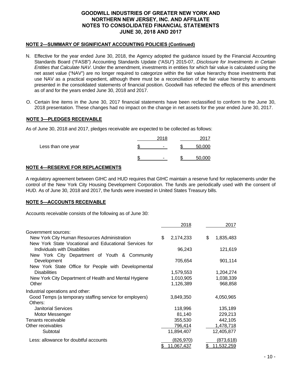## **NOTE 2—SUMMARY OF SIGNIFICANT ACCOUNTING POLICIES (Continued)**

- N. Effective for the year ended June 30, 2018, the Agency adopted the guidance issued by the Financial Accounting Standards Board ("FASB") Accounting Standards Update ("ASU") 2015-07, *Disclosure for Investments in Certain Entities that Calculate NAV*. Under the amendment, investments in entities for which fair value is calculated using the net asset value ("NAV") are no longer required to categorize within the fair value hierarchy those investments that use NAV as a practical expedient, although there must be a reconciliation of the fair value hierarchy to amounts presented in the consolidated statements of financial position. Goodwill has reflected the effects of this amendment as of and for the years ended June 30, 2018 and 2017.
- O. Certain line items in the June 30, 2017 financial statements have been reclassified to conform to the June 30, 2018 presentation. These changes had no impact on the change in net assets for the year ended June 30, 2017.

## **NOTE 3—PLEDGES RECEIVABLE**

As of June 30, 2018 and 2017, pledges receivable are expected to be collected as follows:

|                    | 2018                     | $201^{\circ}$ |
|--------------------|--------------------------|---------------|
| Less than one year | -                        | 50,000        |
|                    | $\overline{\phantom{0}}$ | 50.000        |

## **NOTE 4—RESERVE FOR REPLACEMENTS**

A regulatory agreement between GIHC and HUD requires that GIHC maintain a reserve fund for replacements under the control of the New York City Housing Development Corporation. The funds are periodically used with the consent of HUD. As of June 30, 2018 and 2017, the funds were invested in United States Treasury bills.

## **NOTE 5—ACCOUNTS RECEIVABLE**

Accounts receivable consists of the following as of June 30:

|                                                         | 2018              | 2017              |
|---------------------------------------------------------|-------------------|-------------------|
| Government sources:                                     |                   |                   |
| New York City Human Resources Administration            | \$<br>2,174,233   | \$<br>1,835,483   |
| New York State Vocational and Educational Services for  |                   |                   |
| Individuals with Disabilities                           | 96,243            | 121,619           |
| New York City Department of Youth & Community           |                   |                   |
| Development                                             | 705,654           | 901,114           |
| New York State Office for People with Developmental     |                   |                   |
| <b>Disabilities</b>                                     | 1,579,553         | 1,204,274         |
| New York City Department of Health and Mental Hygiene   | 1,010,905         | 1,038,339         |
| Other                                                   | 1,126,389         | 968,858           |
| Industrial operations and other:                        |                   |                   |
| Good Temps (a temporary staffing service for employers) | 3,849,350         | 4,050,965         |
| Others:                                                 |                   |                   |
| <b>Janitorial Services</b>                              | 118,996           | 135,189           |
| Motor Messenger                                         | 81,140            | 229,213           |
| Tenants receivable                                      | 355,530           | 442,105           |
| Other receivables                                       | 796,414           | 1,478,718         |
| Subtotal                                                | 11,894,407        | 12,405,877        |
| Less: allowance for doubtful accounts                   | <u>(826,970)</u>  | <u>(873,618)</u>  |
|                                                         | <u>11,067,437</u> | <u>11,532,259</u> |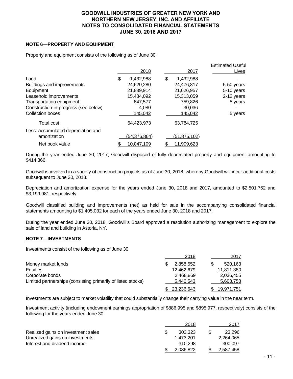## **NOTE 6—PROPERTY AND EQUIPMENT**

Property and equipment consists of the following as of June 30:

|                                      | 2018            | 2017              | <b>Estimated Useful</b><br>Lives |
|--------------------------------------|-----------------|-------------------|----------------------------------|
| Land                                 | \$<br>1,432,988 | \$<br>1,432,988   |                                  |
| Buildings and improvements           | 24,620,280      | 24,476,817        | 5-50 years                       |
| Equipment                            | 21,889,914      | 21,626,957        | 5-10 years                       |
| Leasehold improvements               | 15,484,092      | 15,313,059        | 2-12 years                       |
| Transportation equipment             | 847,577         | 759,826           | 5 years                          |
| Construction-in-progress (see below) | 4,080           | 30,036            |                                  |
| Collection boxes                     | 145,042         | 145,042           | 5 years                          |
| <b>Total cost</b>                    | 64.423.973      | 63,784,725        |                                  |
| Less: accumulated depreciation and   |                 |                   |                                  |
| amortization                         | (54,376,864)    | (51,875,102)      |                                  |
| Net book value                       | 10,047,109      | <u>11,909,623</u> |                                  |

During the year ended June 30, 2017, Goodwill disposed of fully depreciated property and equipment amounting to \$414,366.

Goodwill is involved in a variety of construction projects as of June 30, 2018, whereby Goodwill will incur additional costs subsequent to June 30, 2018.

Depreciation and amortization expense for the years ended June 30, 2018 and 2017, amounted to \$2,501,762 and \$3,199,981, respectively.

Goodwill classified building and improvements (net) as held for sale in the accompanying consolidated financial statements amounting to \$1,405,032 for each of the years ended June 30, 2018 and 2017.

During the year ended June 30, 2018, Goodwill's Board approved a resolution authorizing management to explore the sale of land and building in Astoria, NY.

#### **NOTE 7—INVESTMENTS**

Investments consist of the following as of June 30:

|                                                              | 2018       | 2017              |
|--------------------------------------------------------------|------------|-------------------|
| Money market funds                                           | 2,858,552  | 520.163           |
| Equities                                                     | 12,462,679 | 11,811,380        |
| Corporate bonds                                              | 2,468,869  | 2,036,455         |
| Limited partnerships (consisting primarily of listed stocks) | 5,446,543  | 5,603,753         |
|                                                              | 23,236,643 | <u>19,971,751</u> |

Investments are subject to market volatility that could substantially change their carrying value in the near term.

Investment activity (including endowment earnings appropriation of \$886,995 and \$895,977, respectively) consists of the following for the years ended June 30:

|                                    | 2018      |     | 2017      |
|------------------------------------|-----------|-----|-----------|
| Realized gains on investment sales | 303.323   | \$. | 23.296    |
| Unrealized gains on investments    | 1.473.201 |     | 2.264.065 |
| Interest and dividend income       | 310.298   |     | 300,097   |
|                                    | 2.086.822 |     | 2.587.458 |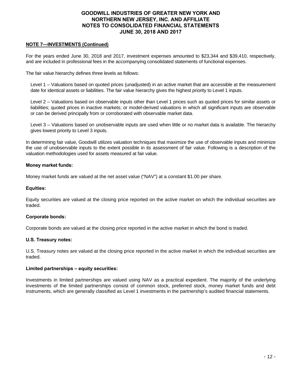## **NOTE 7—INVESTMENTS (Continued)**

For the years ended June 30, 2018 and 2017, investment expenses amounted to \$23,344 and \$39,410, respectively, and are included in professional fees in the accompanying consolidated statements of functional expenses.

The fair value hierarchy defines three levels as follows:

Level 1 – Valuations based on quoted prices (unadjusted) in an active market that are accessible at the measurement date for identical assets or liabilities. The fair value hierarchy gives the highest priority to Level 1 inputs.

Level 2 – Valuations based on observable inputs other than Level 1 prices such as quoted prices for similar assets or liabilities; quoted prices in inactive markets; or model-derived valuations in which all significant inputs are observable or can be derived principally from or corroborated with observable market data.

Level 3 – Valuations based on unobservable inputs are used when little or no market data is available. The hierarchy gives lowest priority to Level 3 inputs.

In determining fair value, Goodwill utilizes valuation techniques that maximize the use of observable inputs and minimize the use of unobservable inputs to the extent possible in its assessment of fair value. Following is a description of the valuation methodologies used for assets measured at fair value.

#### **Money market funds:**

Money market funds are valued at the net asset value ("NAV") at a constant \$1.00 per share.

#### **Equities:**

Equity securities are valued at the closing price reported on the active market on which the individual securities are traded.

#### **Corporate bonds:**

Corporate bonds are valued at the closing price reported in the active market in which the bond is traded.

#### **U.S. Treasury notes:**

U.S. Treasury notes are valued at the closing price reported in the active market in which the individual securities are traded.

#### **Limited partnerships – equity securities:**

Investments in limited partnerships are valued using NAV as a practical expedient. The majority of the underlying investments of the limited partnerships consist of common stock, preferred stock, money market funds and debt instruments, which are generally classified as Level 1 investments in the partnership's audited financial statements.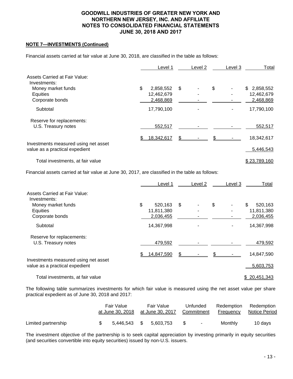## **NOTE 7—INVESTMENTS (Continued)**

Financial assets carried at fair value at June 30, 2018, are classified in the table as follows:

|                                                                        |    | Level 1    | Level 2 | Level 3 | Total        |
|------------------------------------------------------------------------|----|------------|---------|---------|--------------|
| Assets Carried at Fair Value:<br>Investments:                          |    |            |         |         |              |
| Money market funds                                                     | \$ | 2,858,552  | \$      | \$      | \$2,858,552  |
|                                                                        |    |            |         |         |              |
| <b>Equities</b>                                                        |    | 12,462,679 |         |         | 12,462,679   |
| Corporate bonds                                                        |    | 2,468,869  |         |         | 2,468,869    |
| Subtotal                                                               |    | 17,790,100 |         |         | 17,790,100   |
| Reserve for replacements:                                              |    |            |         |         |              |
| U.S. Treasury notes                                                    |    | 552,517    |         |         | 552,517      |
|                                                                        | S  | 18,342,617 | \$      |         | 18,342,617   |
| Investments measured using net asset<br>value as a practical expedient |    |            |         |         | 5,446,543    |
| Total investments, at fair value                                       |    |            |         |         | \$23,789,160 |

Financial assets carried at fair value at June 30, 2017, are classified in the table as follows:

|                                                                        | Level 1       | Level <sub>2</sub> | Level 3 | Total         |
|------------------------------------------------------------------------|---------------|--------------------|---------|---------------|
| Assets Carried at Fair Value:<br>Investments:                          |               |                    |         |               |
| Money market funds                                                     | \$<br>520,163 | \$                 | \$      | \$<br>520,163 |
| Equities                                                               | 11,811,380    |                    |         | 11,811,380    |
| Corporate bonds                                                        | 2,036,455     |                    |         | 2,036,455     |
| Subtotal                                                               | 14,367,998    |                    |         | 14,367,998    |
| Reserve for replacements:                                              |               |                    |         |               |
| U.S. Treasury notes                                                    | 479,592       |                    |         | 479,592       |
|                                                                        | 14,847,590    | \$                 |         | 14,847,590    |
| Investments measured using net asset<br>value as a practical expedient |               |                    |         | 5,603,753     |
| Total investments, at fair value                                       |               |                    |         | \$20,451,343  |

The following table summarizes investments for which fair value is measured using the net asset value per share practical expedient as of June 30, 2018 and 2017:

|                     | Fair Value<br>at June 30, 2018 | Fair Value |           | Unfunded<br>at June 30, 2017 Commitment |        | Redemption<br>Frequency | Redemption<br>Notice Period |
|---------------------|--------------------------------|------------|-----------|-----------------------------------------|--------|-------------------------|-----------------------------|
| Limited partnership | 5.446.543 \$                   |            | 5.603.753 | S.                                      | $\sim$ | Monthly                 | 10 days                     |

The investment objective of the partnership is to seek capital appreciation by investing primarily in equity securities (and securities convertible into equity securities) issued by non-U.S. issuers.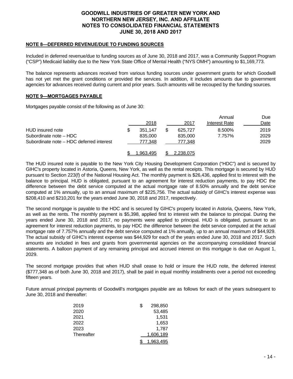## **NOTE 8—DEFERRED REVENUE/DUE TO FUNDING SOURCES**

Included in deferred revenue/due to funding sources as of June 30, 2018 and 2017, was a Community Support Program ("CSP") Medicaid liability due to the New York State Office of Mental Health ("NYS OMH") amounting to \$1,169,773.

The balance represents advances received from various funding sources under government grants for which Goodwill has not yet met the grant conditions or provided the services. In addition, it includes amounts due to government agencies for advances received during current and prior years. Such amounts will be recouped by the funding sources.

#### **NOTE 9—MORTGAGES PAYABLE**

Mortgages payable consist of the following as of June 30:

|                                          |           |           | Annual        | Due  |
|------------------------------------------|-----------|-----------|---------------|------|
|                                          | 2018      | 2017      | Interest Rate | Date |
| HUD insured note                         | 351.147   | 625.727   | 8.500%        | 2019 |
| Subordinate note - HDC                   | 835,000   | 835,000   | 7.757%        | 2029 |
| Subordinate note – HDC deferred interest | 777,348   | 777.348   |               | 2029 |
|                                          | 1.963.495 | 2.238.075 |               |      |

The HUD insured note is payable to the New York City Housing Development Corporation ("HDC") and is secured by GIHC's property located in Astoria, Queens, New York, as well as the rental receipts. This mortgage is secured by HUD pursuant to Section 223(f) of the National Housing Act. The monthly payment is \$26,436, applied first to interest with the balance to principal. HUD is obligated, pursuant to an agreement for interest reduction payments, to pay HDC the difference between the debt service computed at the actual mortgage rate of 8.50% annually and the debt service computed at 1% annually, up to an annual maximum of \$225,756. The actual subsidy of GIHC's interest expense was \$208,410 and \$210,201 for the years ended June 30, 2018 and 2017, respectively.

The second mortgage is payable to the HDC and is secured by GIHC's property located in Astoria, Queens, New York, as well as the rents. The monthly payment is \$5,398, applied first to interest with the balance to principal. During the years ended June 30, 2018 and 2017, no payments were applied to principal. HUD is obligated, pursuant to an agreement for interest reduction payments, to pay HDC the difference between the debt service computed at the actual mortgage rate of 7.757% annually and the debt service computed at 1% annually, up to an annual maximum of \$44,929. The actual subsidy of GIHC's interest expense was \$44,929 for each of the years ended June 30, 2018 and 2017. Such amounts are included in fees and grants from governmental agencies on the accompanying consolidated financial statements. A balloon payment of any remaining principal and accrued interest on this mortgage is due on August 1, 2029.

The second mortgage provides that when HUD shall cease to hold or insure the HUD note, the deferred interest (\$777,348 as of both June 30, 2018 and 2017), shall be paid in equal monthly installments over a period not exceeding fifteen years.

Future annual principal payments of Goodwill's mortgages payable are as follows for each of the years subsequent to June 30, 2018 and thereafter:

| 2019       | S | 298,850   |
|------------|---|-----------|
| 2020       |   | 53,485    |
| 2021       |   | 1.531     |
| 2022       |   | 1,653     |
| 2023       |   | 1,787     |
| Thereafter |   | 1,606,189 |
|            |   | 1,963,495 |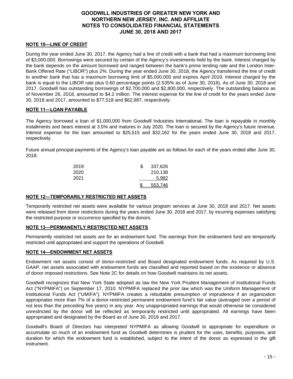## **NOTE 10—LINE OF CREDIT**

During the year ended June 30, 2017, the Agency had a line of credit with a bank that had a maximum borrowing limit of \$3,000,000. Borrowings were secured by certain of the Agency's investments held by the bank. Interest charged by the bank depends on the amount borrowed and ranged between the bank's prime lending rate and the London Inter-Bank Offered Rate ("LIBOR") plus 2%. During the year ended June 30, 2018, the Agency transferred the line of credit to another bank that has a maximum borrowing limit of \$5,000,000 and expires April 2019. Interest charged by the bank is equal to the LIBOR rate plus 0.60 percentage points (2.535% as of June 30, 2018). As of June 30, 2018 and 2017, Goodwill has outstanding borrowings of \$2,700,000 and \$2,800,000, respectively. The outstanding balance as of November 26, 2018, amounted to \$4.2 million. The interest expense for the line of credit for the years ended June 30, 2018 and 2017, amounted to \$77,518 and \$62,987, respectively.

#### **NOTE 11—LOAN PAYABLE**

The Agency borrowed a loan of \$1,000,000 from Goodwill Industries International. The loan is repayable in monthly installments and bears interest at 3.5% and matures in July 2020. The loan is secured by the Agency's future revenue. Interest expense for the loan amounted to \$25,515 and \$32,162 for the years ended June 30, 2018 and 2017, respectively.

Future annual principal payments of the Agency's loan payable are as follows for each of the years ended after June 30, 2018:

| 2019 | 337,626 |
|------|---------|
| 2020 | 210,138 |
| 2021 | 5.982   |
|      | 553,746 |

#### **NOTE 12—TEMPORARILY RESTRICTED NET ASSETS**

Temporarily restricted net assets were available for various program services at June 30, 2018 and 2017. Net assets were released from donor restrictions during the years ended June 30, 2018 and 2017, by incurring expenses satisfying the restricted purpose or occurrence specified by the donors.

## **NOTE 13—PERMANENTLY RESTRICTED NET ASSETS**

Permanently restricted net assets are for an endowment fund. The earnings from the endowment fund are temporarily restricted until appropriated and support the operations of Goodwill.

#### **NOTE 14—ENDOWMENT NET ASSETS**

Endowment net assets consist of donor-restricted and Board designated endowment funds. As required by U.S. GAAP, net assets associated with endowment funds are classified and reported based on the existence or absence of donor imposed restrictions. See Note 2C for details on how Goodwill maintains its net assets.

Goodwill recognizes that New York State adopted as law the New York Prudent Management of Institutional Funds Act ("NYPMIFA") on September 17, 2010. NYPMIFA replaced the prior law which was the Uniform Management of Institutional Funds Act ("UMIFA"). NYPMIFA creates a rebuttable presumption of imprudence if an organization appropriates more than 7% of a donor-restricted permanent endowment fund's fair value (averaged over a period of not less than the preceding five years) in any year. Any unappropriated earnings that would otherwise be considered unrestricted by the donor will be reflected as temporarily restricted until appropriated. All earnings have been appropriated and designated by the Board as of June 30, 2018 and 2017.

Goodwill's Board of Directors has interpreted NYPMIFA as allowing Goodwill to appropriate for expenditure or accumulate so much of an endowment fund as Goodwill determines is prudent for the uses, benefits, purposes, and duration for which the endowment fund is established, subject to the intent of the donor as expressed in the gift instrument.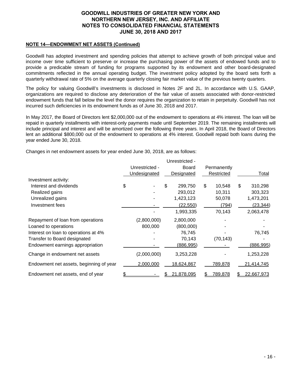## **NOTE 14—ENDOWMENT NET ASSETS (Continued)**

Goodwill has adopted investment and spending policies that attempt to achieve growth of both principal value and income over time sufficient to preserve or increase the purchasing power of the assets of endowed funds and to provide a predicable stream of funding for programs supported by its endowment and other board-designated commitments reflected in the annual operating budget. The investment policy adopted by the board sets forth a quarterly withdrawal rate of 5% on the average quarterly closing fair market value of the previous twenty quarters.

The policy for valuing Goodwill's investments is disclosed in Notes 2F and 2L. In accordance with U.S. GAAP, organizations are required to disclose any deterioration of the fair value of assets associated with donor-restricted endowment funds that fall below the level the donor requires the organization to retain in perpetuity. Goodwill has not incurred such deficiencies in its endowment funds as of June 30, 2018 and 2017.

In May 2017, the Board of Directors lent \$2,000,000 out of the endowment to operations at 4% interest. The loan will be repaid in quarterly installments with interest-only payments made until September 2019. The remaining installments will include principal and interest and will be amortized over the following three years. In April 2018, the Board of Directors lent an additional \$800,000 out of the endowment to operations at 4% interest. Goodwill repaid both loans during the year ended June 30, 2018.

Changes in net endowment assets for year ended June 30, 2018, are as follows:

|                                         |                | Unrestricted - |    |             |               |
|-----------------------------------------|----------------|----------------|----|-------------|---------------|
|                                         | Unrestricted - | <b>Board</b>   |    | Permanently |               |
|                                         | Undesignated   | Designated     |    | Restricted  | Total         |
| Investment activity:                    |                |                |    |             |               |
| Interest and dividends                  | \$             | \$<br>299,750  | \$ | 10,548      | \$<br>310,298 |
| Realized gains                          |                | 293,012        |    | 10,311      | 303,323       |
| Unrealized gains                        |                | 1,423,123      |    | 50,078      | 1,473,201     |
| Investment fees                         |                | (22, 550)      |    | (794)       | (23, 344)     |
|                                         |                | 1,993,335      |    | 70,143      | 2,063,478     |
| Repayment of loan from operations       | (2,800,000)    | 2,800,000      |    |             |               |
| Loaned to operations                    | 800,000        | (800,000)      |    |             |               |
| Interest on loan to operations at 4%    |                | 76,745         |    |             | 76,745        |
| Transfer to Board designated            |                | 70,143         |    | (70, 143)   |               |
| Endowment earnings appropriation        |                | (886, 995)     |    |             | (886,995)     |
| Change in endowment net assets          | (2,000,000)    | 3,253,228      |    |             | 1,253,228     |
| Endowment net assets, beginning of year | 2,000,000      | 18,624,867     |    | 789,878     | 21,414,745    |
| Endowment net assets, end of year       |                | 21,878,095     | £. | 789,878     | 22,667,973    |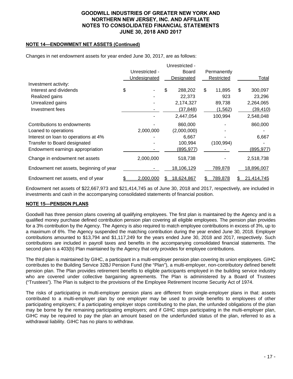## **NOTE 14—ENDOWMENT NET ASSETS (Continued)**

Changes in net endowment assets for year ended June 30, 2017, are as follows:

|                                         |                |    | Unrestricted - |    |             |    |            |
|-----------------------------------------|----------------|----|----------------|----|-------------|----|------------|
|                                         | Unrestricted - |    | Board          |    | Permanently |    |            |
|                                         | Undesignated   |    | Designated     |    | Restricted  |    | Total      |
| Investment activity:                    |                |    |                |    |             |    |            |
| Interest and dividends                  | \$             | \$ | 288,202        | \$ | 11,895      | \$ | 300,097    |
| Realized gains                          |                |    | 22,373         |    | 923         |    | 23,296     |
| Unrealized gains                        |                |    | 2,174,327      |    | 89,738      |    | 2,264,065  |
| Investment fees                         |                |    | (37,848)       |    | (1, 562)    |    | (39, 410)  |
|                                         |                |    | 2,447,054      |    | 100,994     |    | 2,548,048  |
| Contributions to endowments             |                |    | 860,000        |    |             |    | 860,000    |
| Loaned to operations                    | 2,000,000      |    | (2,000,000)    |    |             |    |            |
| Interest on loan to operations at 4%    |                |    | 6,667          |    |             |    | 6,667      |
| Transfer to Board designated            |                |    | 100,994        |    | (100, 994)  |    |            |
| Endowment earnings appropriation        |                |    | (895,977)      |    |             |    | (895, 977) |
| Change in endowment net assets          | 2,000,000      |    | 518,738        |    |             |    | 2,518,738  |
| Endowment net assets, beginning of year |                |    | 18,106,129     |    | 789,878     |    | 18,896,007 |
| Endowment net assets, end of year       | 2,000,000      | SБ | 18,624,867     | S  | 789,878     | S  | 21,414,745 |

Endowment net assets of \$22,667,973 and \$21,414,745 as of June 30, 2018 and 2017, respectively, are included in investments and cash in the accompanying consolidated statements of financial position.

## **NOTE 15—PENSION PLANS**

Goodwill has three pension plans covering all qualifying employees. The first plan is maintained by the Agency and is a qualified money purchase defined contribution pension plan covering all eligible employees. The pension plan provides for a 3% contribution by the Agency. The Agency is also required to match employee contributions in excess of 3%, up to a maximum of 6%. The Agency suspended the matching contribution during the year ended June 30, 2018. Employer contributions amounted to \$13,794 and \$1,117,249 for the years ended June 30, 2018 and 2017, respectively. Such contributions are included in payroll taxes and benefits in the accompanying consolidated financial statements. The second plan is a 403(b) Plan maintained by the Agency that only provides for employee contributions.

The third plan is maintained by GIHC, a participant in a multi-employer pension plan covering its union employees. GIHC contributes to the Building Service 32BJ Pension Fund (the "Plan"), a multi-employer, non-contributory defined benefit pension plan. The Plan provides retirement benefits to eligible participants employed in the building service industry who are covered under collective bargaining agreements. The Plan is administered by a Board of Trustees ("Trustees"). The Plan is subject to the provisions of the Employee Retirement Income Security Act of 1974.

The risks of participating in multi-employer pension plans are different from single-employer plans in that: assets contributed to a multi-employer plan by one employer may be used to provide benefits to employees of other participating employers; if a participating employer stops contributing to the plan, the unfunded obligations of the plan may be borne by the remaining participating employers; and if GIHC stops participating in the multi-employer plan, GIHC may be required to pay the plan an amount based on the underfunded status of the plan, referred to as a withdrawal liability. GIHC has no plans to withdraw.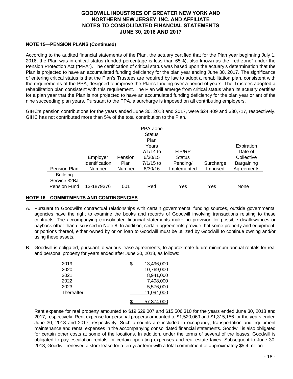## **NOTE 15—PENSION PLANS (Continued)**

According to the audited financial statements of the Plan, the actuary certified that for the Plan year beginning July 1, 2016, the Plan was in critical status (funded percentage is less than 65%), also known as the "red zone" under the Pension Protection Act ("PPA"). The certification of critical status was based upon the actuary's determination that the Plan is projected to have an accumulated funding deficiency for the plan year ending June 30, 2017. The significance of entering critical status is that the Plan's Trustees are required by law to adopt a rehabilitation plan, consistent with the requirements of the PPA, designed to improve the Plan's funding over a period of years. The Trustees adopted a rehabilitation plan consistent with this requirement. The Plan will emerge from critical status when its actuary certifies for a plan year that the Plan is not projected to have an accumulated funding deficiency for the plan year or ant of the nine succeeding plan years. Pursuant to the PPA, a surcharge is imposed on all contributing employers.

GIHC's pension contributions for the years ended June 30, 2018 and 2017, were \$24,409 and \$30,717, respectively. GIHC has not contributed more than 5% of the total contribution to the Plan.

|                 |                       |               | PPA Zone      |               |           |            |
|-----------------|-----------------------|---------------|---------------|---------------|-----------|------------|
|                 |                       |               | <b>Status</b> |               |           |            |
|                 |                       |               | Plan          |               |           |            |
|                 |                       |               | Years         |               |           | Expiration |
|                 |                       |               | 7/1/14 to     | FIP/RP        |           | Date of    |
|                 | Employer              | Pension       | 6/30/15       | <b>Status</b> |           | Collective |
|                 | <b>Identification</b> | Plan          | $7/1/15$ to   | Pending/      | Surcharge | Bargaining |
| Pension Plan    | <b>Number</b>         | <b>Number</b> | 6/30/16       | Implemented   | Imposed   | Agreements |
| <b>Building</b> |                       |               |               |               |           |            |
| Service 32BJ    |                       |               |               |               |           |            |
| Pension Fund    | 13-1879376            | 001           | Red           | Yes           | Yes       | None       |

## **NOTE 16—COMMITMENTS AND CONTINGENCIES**

- A. Pursuant to Goodwill's contractual relationships with certain governmental funding sources, outside governmental agencies have the right to examine the books and records of Goodwill involving transactions relating to these contracts. The accompanying consolidated financial statements make no provision for possible disallowances or payback other than discussed in Note 8. In addition, certain agreements provide that some property and equipment, or portions thereof, either owned by or on loan to Goodwill must be utilized by Goodwill to continue owning and/or using these assets.
- B. Goodwill is obligated, pursuant to various lease agreements, to approximate future minimum annual rentals for real and personal property for years ended after June 30, 2018, as follows:

| 2019       | \$<br>13,496,000 |
|------------|------------------|
| 2020       | 10,769,000       |
| 2021       | 8,941,000        |
| 2022       | 7,498,000        |
| 2023       | 5,576,000        |
| Thereafter | 11,094,000       |
|            | 57.374.000       |

Rent expense for real property amounted to \$19,629,007 and \$15,506,310 for the years ended June 30, 2018 and 2017, respectively. Rent expense for personal property amounted to \$1,520,069 and \$1,315,156 for the years ended June 30, 2018 and 2017, respectively. Such amounts are included in occupancy, transportation and equipment maintenance and rental expenses in the accompanying consolidated financial statements. Goodwill is also obligated for certain other costs at some of the locations. In addition, under the terms of several of the leases, Goodwill is obligated to pay escalation rentals for certain operating expenses and real estate taxes. Subsequent to June 30, 2018, Goodwill renewed a store lease for a ten-year term with a total commitment of approximately \$5.4 million.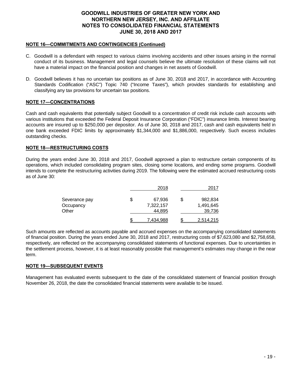## **NOTE 16—COMMITMENTS AND CONTINGENCIES (Continued)**

- C. Goodwill is a defendant with respect to various claims involving accidents and other issues arising in the normal conduct of its business. Management and legal counsels believe the ultimate resolution of these claims will not have a material impact on the financial position and changes in net assets of Goodwill.
- D. Goodwill believes it has no uncertain tax positions as of June 30, 2018 and 2017, in accordance with Accounting Standards Codification ("ASC") Topic 740 ("Income Taxes"), which provides standards for establishing and classifying any tax provisions for uncertain tax positions.

## **NOTE 17―CONCENTRATIONS**

Cash and cash equivalents that potentially subject Goodwill to a concentration of credit risk include cash accounts with various institutions that exceeded the Federal Deposit Insurance Corporation ("FDIC") insurance limits. Interest bearing accounts are insured up to \$250,000 per depositor. As of June 30, 2018 and 2017, cash and cash equivalents held in one bank exceeded FDIC limits by approximately \$1,344,000 and \$1,886,000, respectively. Such excess includes outstanding checks.

#### **NOTE 18―RESTRUCTURING COSTS**

During the years ended June 30, 2018 and 2017, Goodwill approved a plan to restructure certain components of its operations, which included consolidating program sites, closing some locations, and ending some programs. Goodwill intends to complete the restructuring activities during 2019. The following were the estimated accrued restructuring costs as of June 30:

|               | 2018         | 2017             |
|---------------|--------------|------------------|
| Severance pay | \$<br>67,936 | \$<br>982,834    |
| Occupancy     | 7,322,157    | 1,491,645        |
| Other         | 44,895       | 39,736           |
|               | 7,434,988    | <u>2,514,215</u> |

Such amounts are reflected as accounts payable and accrued expenses on the accompanying consolidated statements of financial position. During the years ended June 30, 2018 and 2017, restructuring costs of \$7,623,080 and \$2,758,658, respectively, are reflected on the accompanying consolidated statements of functional expenses. Due to uncertainties in the settlement process, however, it is at least reasonably possible that management's estimates may change in the near term.

## **NOTE 19―SUBSEQUENT EVENTS**

Management has evaluated events subsequent to the date of the consolidated statement of financial position through November 26, 2018, the date the consolidated financial statements were available to be issued.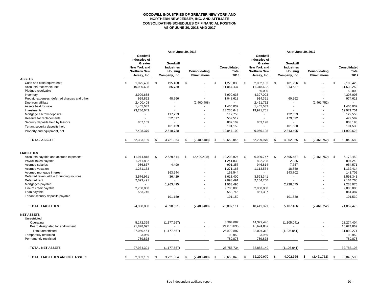#### **GOODWILL INDUSTRIES OF GREATER NEW YORK AND NORTHERN NEW JERSEY, INC. AND AFFILIATE CONSOLIDATING SCHEDULES OF FINANCIAL POSITION AS OF JUNE 30, 2018 AND 2017**

|                                              |     | As of June 30, 2018                                                                                |    |                                                           |    |                                      |     | As of June 30, 2017                  |      |                                                                                                    |    |                                                           |    |                                      |     |                                      |
|----------------------------------------------|-----|----------------------------------------------------------------------------------------------------|----|-----------------------------------------------------------|----|--------------------------------------|-----|--------------------------------------|------|----------------------------------------------------------------------------------------------------|----|-----------------------------------------------------------|----|--------------------------------------|-----|--------------------------------------|
| <b>ASSETS</b>                                |     | Goodwill<br><b>Industries of</b><br>Greater<br>New York and<br><b>Northern New</b><br>Jersey, Inc. |    | Goodwill<br><b>Industries</b><br>Housing<br>Company, Inc. |    | Consolidating<br><b>Eliminations</b> |     | Consolidated<br><b>Total</b><br>2018 |      | Goodwill<br><b>Industries of</b><br>Greater<br>New York and<br><b>Northern New</b><br>Jersey, Inc. |    | Goodwill<br><b>Industries</b><br>Housing<br>Company, Inc. |    | Consolidating<br><b>Eliminations</b> |     | Consolidated<br><b>Total</b><br>2017 |
| Cash and cash equivalents                    | \$. | 1,075,430                                                                                          | \$ | 195,400                                                   | \$ |                                      | \$. | 1,270,830                            | - \$ | 2,002,133                                                                                          | S. | 181,296                                                   | \$ |                                      | \$. | 2,183,429                            |
| Accounts receivable, net                     |     | 10,980,698                                                                                         |    | 86,739                                                    |    |                                      |     | 11,067,437                           |      | 11,318,622                                                                                         |    | 213,637                                                   |    |                                      |     | 11,532,259                           |
| Pledges receivable                           |     |                                                                                                    |    |                                                           |    |                                      |     |                                      |      | 50,000                                                                                             |    |                                                           |    |                                      |     | 50,000                               |
| Inventory                                    |     | 3,999,638                                                                                          |    |                                                           |    |                                      |     | 3,999,638                            |      | 4,307,003                                                                                          |    |                                                           |    |                                      |     | 4,307,003                            |
| Prepaid expenses, deferred charges and other |     | 999,852                                                                                            |    | 48,766                                                    |    |                                      |     | 1,048,618                            |      | 914,351                                                                                            |    | 60,262                                                    |    |                                      |     | 974,613                              |
| Due from affiliate                           |     | 2,400,408                                                                                          |    |                                                           |    | (2,400,408)                          |     |                                      |      | 2,461,752                                                                                          |    | $\overline{a}$                                            |    | (2,461,752)                          |     |                                      |
| Assets held for sale                         |     | 1,405,032                                                                                          |    |                                                           |    |                                      |     | 1,405,032                            |      | 1,405,032                                                                                          |    |                                                           |    |                                      |     | 1,405,032                            |
| Investments                                  |     | 23,236,643                                                                                         |    |                                                           |    |                                      |     | 23,236,643                           |      | 19,971,751                                                                                         |    |                                                           |    |                                      |     | 19,971,751                           |
| Mortgage escrow deposits                     |     |                                                                                                    |    | 117,753                                                   |    |                                      |     | 117,753                              |      |                                                                                                    |    | 122,553                                                   |    |                                      |     | 122,553                              |
| Reserve for replacements                     |     |                                                                                                    |    | 552,517                                                   |    |                                      |     | 552,517                              |      |                                                                                                    |    | 479,592                                                   |    |                                      |     | 479,592                              |
| Security deposits held by lessors            |     | 807,109                                                                                            |    |                                                           |    |                                      |     | 807,109                              |      | 803,198                                                                                            |    |                                                           |    |                                      |     | 803,198                              |
| Tenant security deposits held                |     |                                                                                                    |    | 101,159                                                   |    |                                      |     | 101,159                              |      |                                                                                                    |    | 101,530                                                   |    |                                      |     | 101,530                              |
| Property and equipment, net                  |     | 7,428,379                                                                                          |    | 2,618,730                                                 |    |                                      |     | 10,047,109                           |      | 9,066,128                                                                                          |    | 2,843,495                                                 |    |                                      |     | 11,909,623                           |
| <b>TOTAL ASSETS</b>                          | \$  | 52,333,189                                                                                         | \$ | 3,721,064                                                 | \$ | (2,400,408)                          | \$  | 53,653,845                           | £.   | 52,299,970                                                                                         |    | 4,002,365                                                 | \$ | (2,461,752)                          |     | 53,840,583                           |
| <b>LIABILITIES</b>                           |     |                                                                                                    |    |                                                           |    |                                      |     |                                      |      |                                                                                                    |    |                                                           |    |                                      |     |                                      |
| Accounts payable and accrued expenses        | \$  | 11,974,818                                                                                         | \$ | 2,629,514                                                 | \$ | (2,400,408)                          | \$  | 12,203,924                           | - \$ | 6,039,747                                                                                          | S. | 2,595,457                                                 | \$ | (2,461,752)                          | \$  | 6,173,452                            |
| Payroll taxes payable                        |     | 1,241,832                                                                                          |    |                                                           |    |                                      |     | 1,241,832                            |      | 892,208                                                                                            |    | 2,035                                                     |    |                                      |     | 894,243                              |
| <b>Accrued salaries</b>                      |     | 986,867                                                                                            |    | 4,490                                                     |    |                                      |     | 991,357                              |      | 946,814                                                                                            |    | 7,757                                                     |    |                                      |     | 954,571                              |
| Accrued vacation                             |     | 1,271,163                                                                                          |    |                                                           |    |                                      |     | 1,271,163                            |      | 1,113,564                                                                                          |    | 18,850                                                    |    |                                      |     | 1,132,414                            |
| Accrued mortgage interest                    |     |                                                                                                    |    | 163,544                                                   |    |                                      |     | 163,544                              |      |                                                                                                    |    | 143,702                                                   |    |                                      |     | 143,702                              |
| Deferred revenue/due to funding sources      |     | 3,576,971                                                                                          |    | 36,429                                                    |    |                                      |     | 3,613,400                            |      | 3,593,341                                                                                          |    |                                                           |    |                                      |     | 3,593,341                            |
| Deferred rent                                |     | 2,093,491                                                                                          |    |                                                           |    |                                      |     | 2,093,491                            |      | 2,164,760                                                                                          |    |                                                           |    |                                      |     | 2,164,760                            |
| Mortgages payable                            |     |                                                                                                    |    | 1,963,495                                                 |    |                                      |     | 1.963.495                            |      |                                                                                                    |    | 2,238,075                                                 |    |                                      |     | 2,238,075                            |
| Line of credit payable                       |     | 2,700,000                                                                                          |    |                                                           |    |                                      |     | 2,700,000                            |      | 2,800,000                                                                                          |    |                                                           |    |                                      |     | 2,800,000                            |
| Loan payable                                 |     | 553,746                                                                                            |    |                                                           |    |                                      |     | 553,746                              |      | 861,387                                                                                            |    |                                                           |    |                                      |     | 861,387                              |
| Tenant security deposits payable             |     | $\overline{\phantom{a}}$                                                                           |    | 101,159                                                   |    |                                      |     | 101,159                              |      |                                                                                                    |    | 101,530                                                   |    |                                      |     | 101,530                              |
| <b>TOTAL LIABILITIES</b>                     |     | 24,398,888                                                                                         |    | 4,898,631                                                 |    | (2,400,408)                          |     | 26,897,111                           |      | 18,411,821                                                                                         |    | 5,107,406                                                 |    | (2,461,752)                          |     | 21,057,475                           |
| <b>NET ASSETS</b>                            |     |                                                                                                    |    |                                                           |    |                                      |     |                                      |      |                                                                                                    |    |                                                           |    |                                      |     |                                      |
| Unrestricted                                 |     |                                                                                                    |    | (1, 177, 567)                                             |    |                                      |     |                                      |      |                                                                                                    |    |                                                           |    | $\sim$                               |     | 13,274,404                           |
| Operating<br>Board designated for endowment  |     | 5,172,369<br>21,878,095                                                                            |    |                                                           |    |                                      |     | 3,994,802<br>21,878,095              |      | 14,379,445<br>18,624,867                                                                           |    | (1, 105, 041)                                             |    |                                      |     | 18,624,867                           |
|                                              |     |                                                                                                    |    |                                                           |    |                                      |     |                                      |      |                                                                                                    |    |                                                           |    | ÷.                                   |     |                                      |
| Total unrestricted<br>Temporarily restricted |     | 27,050,464<br>93,959                                                                               |    | (1, 177, 567)                                             |    |                                      |     | 25,872,897<br>93,959                 |      | 33,004,312<br>93,959                                                                               |    | (1, 105, 041)                                             |    |                                      |     | 31,899,271<br>93,959                 |
| Permanently restricted                       |     | 789,878                                                                                            |    | $\overline{\phantom{a}}$                                  |    | $\overline{\phantom{a}}$             |     | 789,878                              |      | 789,878                                                                                            |    |                                                           |    |                                      |     | 789,878                              |
| <b>TOTAL NET ASSETS</b>                      |     | 27,934,301                                                                                         |    | (1, 177, 567)                                             |    |                                      |     | 26,756,734                           |      | 33,888,149                                                                                         |    | (1, 105, 041)                                             |    |                                      |     | 32,783,108                           |
| TOTAL LIABILITIES AND NET ASSETS             | \$  | 52,333,189                                                                                         | \$ | 3,721,064                                                 | \$ | (2,400,408)                          | \$  | 53,653,845                           | \$   | 52,299,970                                                                                         | \$ | 4,002,365                                                 | \$ | (2,461,752)                          | \$  | 53,840,583                           |